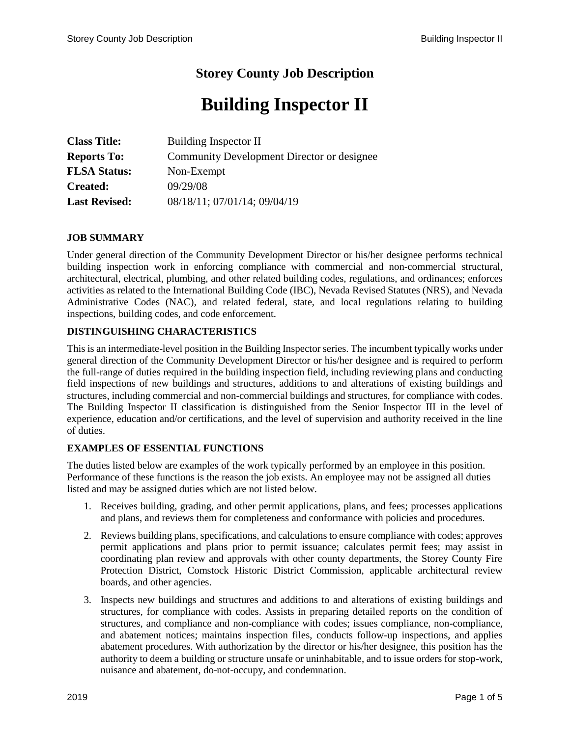# **Storey County Job Description**

# **Building Inspector II**

| <b>Class Title:</b>  | Building Inspector II                      |
|----------------------|--------------------------------------------|
| <b>Reports To:</b>   | Community Development Director or designee |
| <b>FLSA Status:</b>  | Non-Exempt                                 |
| Created:             | 09/29/08                                   |
| <b>Last Revised:</b> | 08/18/11; 07/01/14; 09/04/19               |

#### **JOB SUMMARY**

Under general direction of the Community Development Director or his/her designee performs technical building inspection work in enforcing compliance with commercial and non-commercial structural, architectural, electrical, plumbing, and other related building codes, regulations, and ordinances; enforces activities as related to the International Building Code (IBC), Nevada Revised Statutes (NRS), and Nevada Administrative Codes (NAC), and related federal, state, and local regulations relating to building inspections, building codes, and code enforcement.

#### **DISTINGUISHING CHARACTERISTICS**

This is an intermediate-level position in the Building Inspector series. The incumbent typically works under general direction of the Community Development Director or his/her designee and is required to perform the full-range of duties required in the building inspection field, including reviewing plans and conducting field inspections of new buildings and structures, additions to and alterations of existing buildings and structures, including commercial and non-commercial buildings and structures, for compliance with codes. The Building Inspector II classification is distinguished from the Senior Inspector III in the level of experience, education and/or certifications, and the level of supervision and authority received in the line of duties.

#### **EXAMPLES OF ESSENTIAL FUNCTIONS**

The duties listed below are examples of the work typically performed by an employee in this position. Performance of these functions is the reason the job exists. An employee may not be assigned all duties listed and may be assigned duties which are not listed below.

- 1. Receives building, grading, and other permit applications, plans, and fees; processes applications and plans, and reviews them for completeness and conformance with policies and procedures.
- 2. Reviews building plans, specifications, and calculations to ensure compliance with codes; approves permit applications and plans prior to permit issuance; calculates permit fees; may assist in coordinating plan review and approvals with other county departments, the Storey County Fire Protection District, Comstock Historic District Commission, applicable architectural review boards, and other agencies.
- 3. Inspects new buildings and structures and additions to and alterations of existing buildings and structures, for compliance with codes. Assists in preparing detailed reports on the condition of structures, and compliance and non-compliance with codes; issues compliance, non-compliance, and abatement notices; maintains inspection files, conducts follow-up inspections, and applies abatement procedures. With authorization by the director or his/her designee, this position has the authority to deem a building or structure unsafe or uninhabitable, and to issue orders for stop-work, nuisance and abatement, do-not-occupy, and condemnation.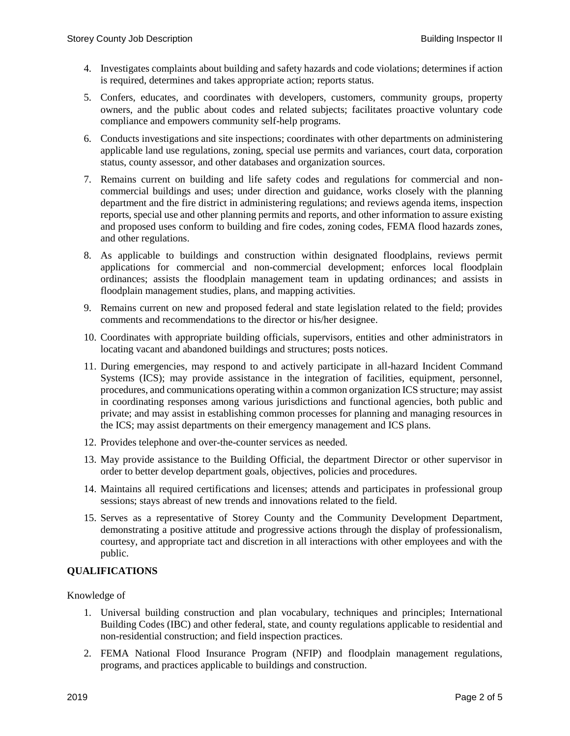- 4. Investigates complaints about building and safety hazards and code violations; determines if action is required, determines and takes appropriate action; reports status.
- 5. Confers, educates, and coordinates with developers, customers, community groups, property owners, and the public about codes and related subjects; facilitates proactive voluntary code compliance and empowers community self-help programs.
- 6. Conducts investigations and site inspections; coordinates with other departments on administering applicable land use regulations, zoning, special use permits and variances, court data, corporation status, county assessor, and other databases and organization sources.
- 7. Remains current on building and life safety codes and regulations for commercial and noncommercial buildings and uses; under direction and guidance, works closely with the planning department and the fire district in administering regulations; and reviews agenda items, inspection reports, special use and other planning permits and reports, and other information to assure existing and proposed uses conform to building and fire codes, zoning codes, FEMA flood hazards zones, and other regulations.
- 8. As applicable to buildings and construction within designated floodplains, reviews permit applications for commercial and non-commercial development; enforces local floodplain ordinances; assists the floodplain management team in updating ordinances; and assists in floodplain management studies, plans, and mapping activities.
- 9. Remains current on new and proposed federal and state legislation related to the field; provides comments and recommendations to the director or his/her designee.
- 10. Coordinates with appropriate building officials, supervisors, entities and other administrators in locating vacant and abandoned buildings and structures; posts notices.
- 11. During emergencies, may respond to and actively participate in all-hazard Incident Command Systems (ICS); may provide assistance in the integration of facilities, equipment, personnel, procedures, and communications operating within a common organization ICS structure; may assist in coordinating responses among various jurisdictions and functional agencies, both public and private; and may assist in establishing common processes for planning and managing resources in the ICS; may assist departments on their emergency management and ICS plans.
- 12. Provides telephone and over-the-counter services as needed.
- 13. May provide assistance to the Building Official, the department Director or other supervisor in order to better develop department goals, objectives, policies and procedures.
- 14. Maintains all required certifications and licenses; attends and participates in professional group sessions; stays abreast of new trends and innovations related to the field.
- 15. Serves as a representative of Storey County and the Community Development Department, demonstrating a positive attitude and progressive actions through the display of professionalism, courtesy, and appropriate tact and discretion in all interactions with other employees and with the public.

### **QUALIFICATIONS**

Knowledge of

- 1. Universal building construction and plan vocabulary, techniques and principles; International Building Codes (IBC) and other federal, state, and county regulations applicable to residential and non-residential construction; and field inspection practices.
- 2. FEMA National Flood Insurance Program (NFIP) and floodplain management regulations, programs, and practices applicable to buildings and construction.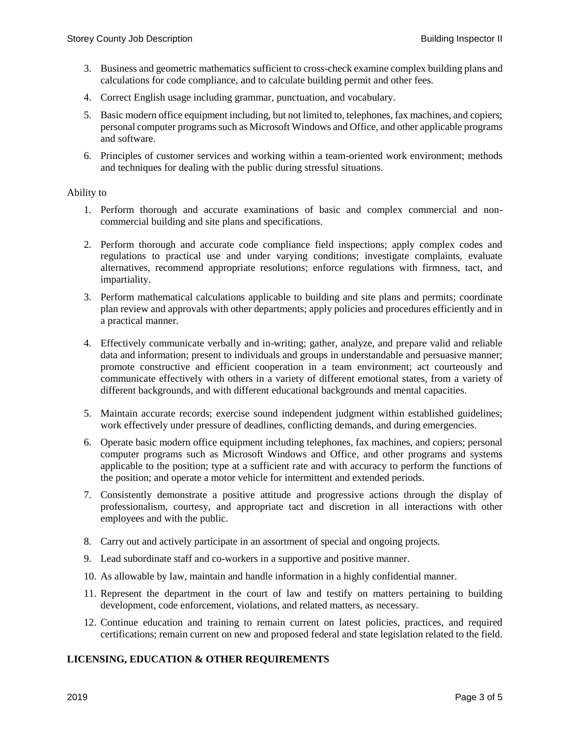- 3. Business and geometric mathematics sufficient to cross-check examine complex building plans and calculations for code compliance, and to calculate building permit and other fees.
- 4. Correct English usage including grammar, punctuation, and vocabulary.
- 5. Basic modern office equipment including, but not limited to, telephones, fax machines, and copiers; personal computer programs such as Microsoft Windows and Office, and other applicable programs and software.
- 6. Principles of customer services and working within a team-oriented work environment; methods and techniques for dealing with the public during stressful situations.

#### Ability to

- 1. Perform thorough and accurate examinations of basic and complex commercial and noncommercial building and site plans and specifications.
- 2. Perform thorough and accurate code compliance field inspections; apply complex codes and regulations to practical use and under varying conditions; investigate complaints, evaluate alternatives, recommend appropriate resolutions; enforce regulations with firmness, tact, and impartiality.
- 3. Perform mathematical calculations applicable to building and site plans and permits; coordinate plan review and approvals with other departments; apply policies and procedures efficiently and in a practical manner.
- 4. Effectively communicate verbally and in-writing; gather, analyze, and prepare valid and reliable data and information; present to individuals and groups in understandable and persuasive manner; promote constructive and efficient cooperation in a team environment; act courteously and communicate effectively with others in a variety of different emotional states, from a variety of different backgrounds, and with different educational backgrounds and mental capacities.
- 5. Maintain accurate records; exercise sound independent judgment within established guidelines; work effectively under pressure of deadlines, conflicting demands, and during emergencies.
- 6. Operate basic modern office equipment including telephones, fax machines, and copiers; personal computer programs such as Microsoft Windows and Office, and other programs and systems applicable to the position; type at a sufficient rate and with accuracy to perform the functions of the position; and operate a motor vehicle for intermittent and extended periods.
- 7. Consistently demonstrate a positive attitude and progressive actions through the display of professionalism, courtesy, and appropriate tact and discretion in all interactions with other employees and with the public.
- 8. Carry out and actively participate in an assortment of special and ongoing projects.
- 9. Lead subordinate staff and co-workers in a supportive and positive manner.
- 10. As allowable by law, maintain and handle information in a highly confidential manner.
- 11. Represent the department in the court of law and testify on matters pertaining to building development, code enforcement, violations, and related matters, as necessary.
- 12. Continue education and training to remain current on latest policies, practices, and required certifications; remain current on new and proposed federal and state legislation related to the field.

# **LICENSING, EDUCATION & OTHER REQUIREMENTS**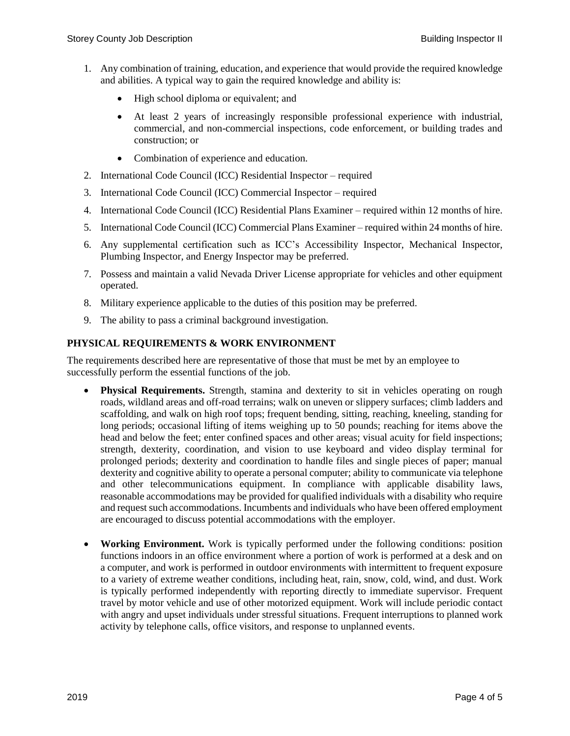- 1. Any combination of training, education, and experience that would provide the required knowledge and abilities. A typical way to gain the required knowledge and ability is:
	- High school diploma or equivalent; and
	- At least 2 years of increasingly responsible professional experience with industrial, commercial, and non-commercial inspections, code enforcement, or building trades and construction; or
	- Combination of experience and education.
- 2. International Code Council (ICC) Residential Inspector required
- 3. International Code Council (ICC) Commercial Inspector required
- 4. International Code Council (ICC) Residential Plans Examiner required within 12 months of hire.
- 5. International Code Council (ICC) Commercial Plans Examiner required within 24 months of hire.
- 6. Any supplemental certification such as ICC's Accessibility Inspector, Mechanical Inspector, Plumbing Inspector, and Energy Inspector may be preferred.
- 7. Possess and maintain a valid Nevada Driver License appropriate for vehicles and other equipment operated.
- 8. Military experience applicable to the duties of this position may be preferred.
- 9. The ability to pass a criminal background investigation.

## **PHYSICAL REQUIREMENTS & WORK ENVIRONMENT**

The requirements described here are representative of those that must be met by an employee to successfully perform the essential functions of the job.

- **Physical Requirements.** Strength, stamina and dexterity to sit in vehicles operating on rough roads, wildland areas and off-road terrains; walk on uneven or slippery surfaces; climb ladders and scaffolding, and walk on high roof tops; frequent bending, sitting, reaching, kneeling, standing for long periods; occasional lifting of items weighing up to 50 pounds; reaching for items above the head and below the feet; enter confined spaces and other areas; visual acuity for field inspections; strength, dexterity, coordination, and vision to use keyboard and video display terminal for prolonged periods; dexterity and coordination to handle files and single pieces of paper; manual dexterity and cognitive ability to operate a personal computer; ability to communicate via telephone and other telecommunications equipment. In compliance with applicable disability laws, reasonable accommodations may be provided for qualified individuals with a disability who require and request such accommodations. Incumbents and individuals who have been offered employment are encouraged to discuss potential accommodations with the employer.
- **Working Environment.** Work is typically performed under the following conditions: position functions indoors in an office environment where a portion of work is performed at a desk and on a computer, and work is performed in outdoor environments with intermittent to frequent exposure to a variety of extreme weather conditions, including heat, rain, snow, cold, wind, and dust. Work is typically performed independently with reporting directly to immediate supervisor. Frequent travel by motor vehicle and use of other motorized equipment. Work will include periodic contact with angry and upset individuals under stressful situations. Frequent interruptions to planned work activity by telephone calls, office visitors, and response to unplanned events.